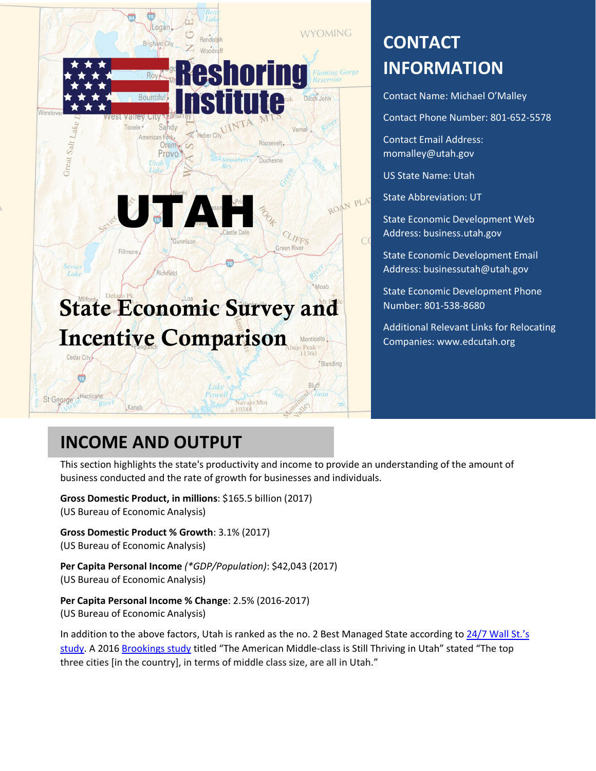

# **CONTACT INFORMATION**

Contact Name: Michael O'Malley

Contact Phone Number: 801-652-5578

Contact Email Address: momalley@utah.gov

US State Name: Utah

State Abbreviation: UT

State Economic Development Web Address: business.utah.gov

State Economic Development Email Address: businessutah@utah.gov

State Economic Development Phone Number: 801-538-8680

Additional Relevant Links for Relocating Companies: www.edcutah.org

## **INCOME AND OUTPUT**

This section highlights the state's productivity and income to provide an understanding of the amount of business conducted and the rate of growth for businesses and individuals.

**Gross Domestic Product, in millions**: \$165.5 billion (2017) (US Bureau of Economic Analysis)

**Gross Domestic Product % Growth**: 3.1% (2017) (US Bureau of Economic Analysis)

**Per Capita Personal Income** *(\*GDP/Population)*: \$42,043 (2017) (US Bureau of Economic Analysis)

**Per Capita Personal Income % Change**: 2.5% (2016-2017) (US Bureau of Economic Analysis)

In addition to the above factors, Utah is ranked as the no. 2 Best Managed State according to 24/7 Wall St.'s study. A 2016 Brookings study titled "The American Middle-class is Still Thriving in Utah" stated "The top three cities [in the country], in terms of middle class size, are all in Utah."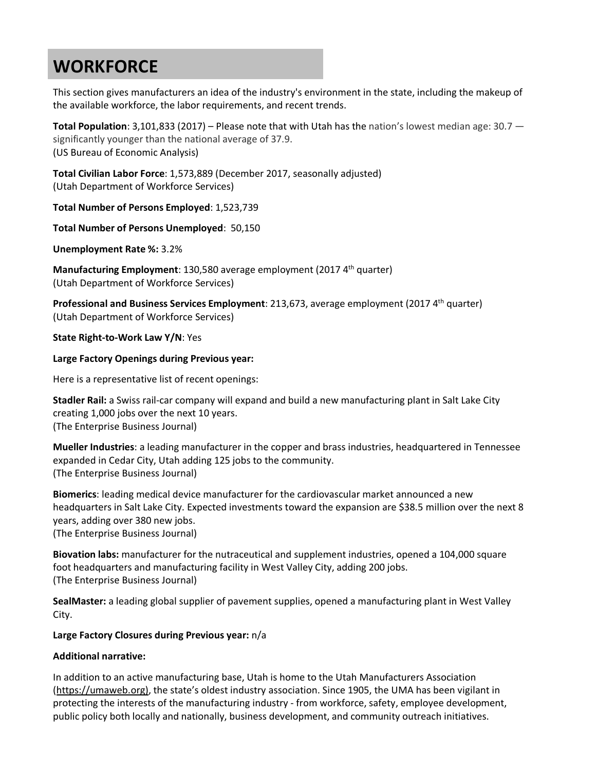# **WORKFORCE**

This section gives manufacturers an idea of the industry's environment in the state, including the makeup of the available workforce, the labor requirements, and recent trends.

**Total Population**: 3,101,833 (2017) – Please note that with Utah has the nation's lowest median age: 30.7 significantly younger than the national average of 37.9. (US Bureau of Economic Analysis)

**Total Civilian Labor Force**: 1,573,889 (December 2017, seasonally adjusted) (Utah Department of Workforce Services)

**Total Number of Persons Employed**: 1,523,739

**Total Number of Persons Unemployed**: 50,150

**Unemployment Rate %:** 3.2%

**Manufacturing Employment**: 130,580 average employment (2017 4<sup>th</sup> quarter) (Utah Department of Workforce Services)

**Professional and Business Services Employment**: 213,673, average employment (2017 4th quarter) (Utah Department of Workforce Services)

**State Right-to-Work Law Y/N**: Yes

#### **Large Factory Openings during Previous year:**

Here is a representative list of recent openings:

**Stadler Rail:** a Swiss rail-car company will expand and build a new manufacturing plant in Salt Lake City creating 1,000 jobs over the next 10 years. (The Enterprise Business Journal)

**Mueller Industries**: a leading manufacturer in the copper and brass industries, headquartered in Tennessee expanded in Cedar City, Utah adding 125 jobs to the community. (The Enterprise Business Journal)

**Biomerics**: leading medical device manufacturer for the cardiovascular market announced a new headquarters in Salt Lake City. Expected investments toward the expansion are \$38.5 million over the next 8 years, adding over 380 new jobs.

(The Enterprise Business Journal)

**Biovation labs:** manufacturer for the nutraceutical and supplement industries, opened a 104,000 square foot headquarters and manufacturing facility in West Valley City, adding 200 jobs. (The Enterprise Business Journal)

**SealMaster:** a leading global supplier of pavement supplies, opened a manufacturing plant in West Valley City.

**Large Factory Closures during Previous year:** n/a

#### **Additional narrative:**

In addition to an active manufacturing base, Utah is home to the Utah Manufacturers Association (https://umaweb.org), the state's oldest industry association. Since 1905, the UMA has been vigilant in protecting the interests of the manufacturing industry - from workforce, safety, employee development, public policy both locally and nationally, business development, and community outreach initiatives.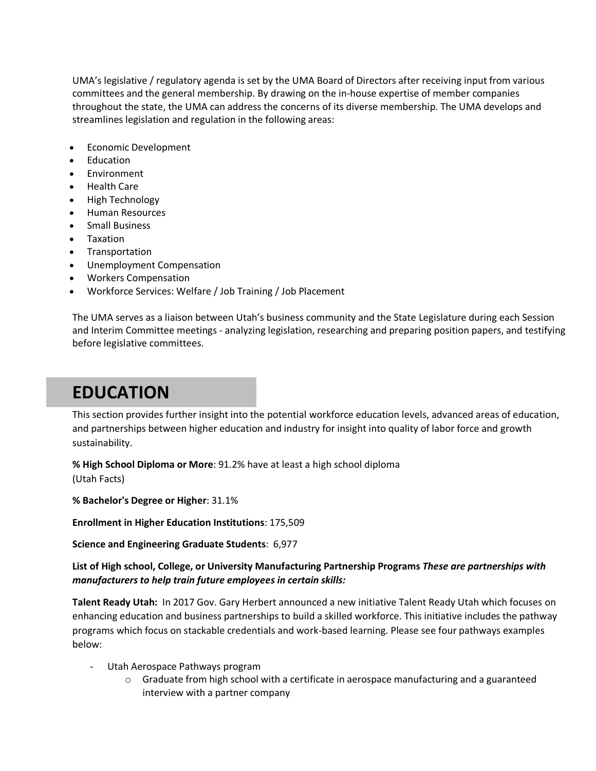UMA's legislative / regulatory agenda is set by the UMA Board of Directors after receiving input from various committees and the general membership. By drawing on the in-house expertise of member companies throughout the state, the UMA can address the concerns of its diverse membership. The UMA develops and streamlines legislation and regulation in the following areas:

- · Economic Development
- **Education**
- **Environment**
- · Health Care
- · High Technology
- · Human Resources
- · Small Business
- · Taxation
- · Transportation
- Unemployment Compensation
- · Workers Compensation
- · Workforce Services: Welfare / Job Training / Job Placement

The UMA serves as a liaison between Utah's business community and the State Legislature during each Session and Interim Committee meetings - analyzing legislation, researching and preparing position papers, and testifying before legislative committees.

## **EDUCATION**

This section provides further insight into the potential workforce education levels, advanced areas of education, and partnerships between higher education and industry for insight into quality of labor force and growth sustainability.

**% High School Diploma or More**: 91.2% have at least a high school diploma (Utah Facts)

**% Bachelor's Degree or Higher**: 31.1%

**Enrollment in Higher Education Institutions**: 175,509

**Science and Engineering Graduate Students**: 6,977

**List of High school, College, or University Manufacturing Partnership Programs** *These are partnerships with manufacturers to help train future employees in certain skills:*

**Talent Ready Utah:** In 2017 Gov. Gary Herbert announced a new initiative Talent Ready Utah which focuses on enhancing education and business partnerships to build a skilled workforce. This initiative includes the pathway programs which focus on stackable credentials and work-based learning. Please see four pathways examples below:

- Utah Aerospace Pathways program
	- $\circ$  Graduate from high school with a certificate in aerospace manufacturing and a guaranteed interview with a partner company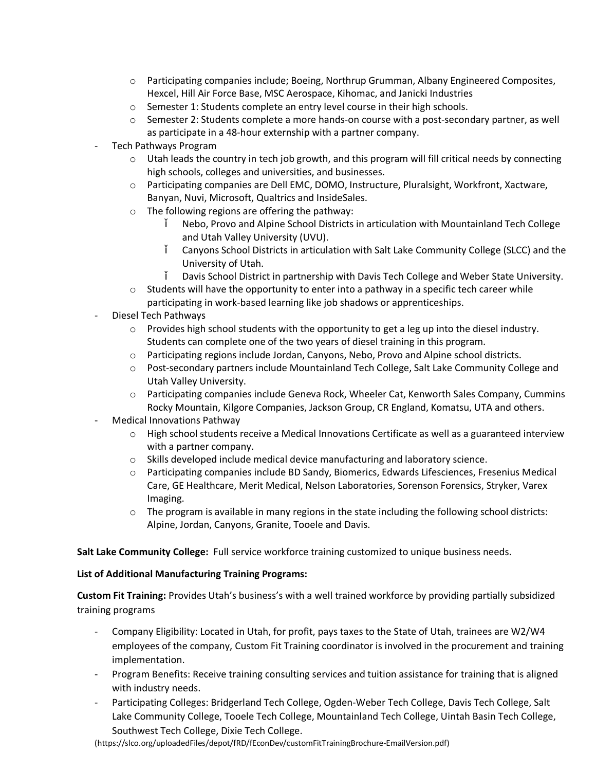- o Participating companies include; Boeing, Northrup Grumman, Albany Engineered Composites, Hexcel, Hill Air Force Base, MSC Aerospace, Kihomac, and Janicki Industries
- o Semester 1: Students complete an entry level course in their high schools.
- $\circ$  Semester 2: Students complete a more hands-on course with a post-secondary partner, as well as participate in a 48-hour externship with a partner company.
- Tech Pathways Program
	- $\circ$  Utah leads the country in tech job growth, and this program will fill critical needs by connecting high schools, colleges and universities, and businesses.
	- o Participating companies are Dell EMC, DOMO, Instructure, Pluralsight, Workfront, Xactware, Banyan, Nuvi, Microsoft, Qualtrics and InsideSales.
	- o The following regions are offering the pathway:
		- Nebo, Provo and Alpine School Districts in articulation with Mountainland Tech College and Utah Valley University (UVU).
		- Canyons School Districts in articulation with Salt Lake Community College (SLCC) and the University of Utah.
			- Davis School District in partnership with Davis Tech College and Weber State University.
	- $\circ$  Students will have the opportunity to enter into a pathway in a specific tech career while participating in work-based learning like job shadows or apprenticeships.
- Diesel Tech Pathways
	- $\circ$  Provides high school students with the opportunity to get a leg up into the diesel industry. Students can complete one of the two years of diesel training in this program.
	- o Participating regions include Jordan, Canyons, Nebo, Provo and Alpine school districts.
	- o Post-secondary partners include Mountainland Tech College, Salt Lake Community College and Utah Valley University.
	- o Participating companies include Geneva Rock, Wheeler Cat, Kenworth Sales Company, Cummins Rocky Mountain, Kilgore Companies, Jackson Group, CR England, Komatsu, UTA and others.
- Medical Innovations Pathway
	- o High school students receive a Medical Innovations Certificate as well as a guaranteed interview with a partner company.
	- o Skills developed include medical device manufacturing and laboratory science.
	- o Participating companies include BD Sandy, Biomerics, Edwards Lifesciences, Fresenius Medical Care, GE Healthcare, Merit Medical, Nelson Laboratories, Sorenson Forensics, Stryker, Varex Imaging.
	- $\circ$  The program is available in many regions in the state including the following school districts: Alpine, Jordan, Canyons, Granite, Tooele and Davis.

**Salt Lake Community College:** Full service workforce training customized to unique business needs.

#### **List of Additional Manufacturing Training Programs:**

**Custom Fit Training:** Provides Utah's business's with a well trained workforce by providing partially subsidized training programs

- Company Eligibility: Located in Utah, for profit, pays taxes to the State of Utah, trainees are W2/W4 employees of the company, Custom Fit Training coordinator is involved in the procurement and training implementation.
- Program Benefits: Receive training consulting services and tuition assistance for training that is aligned with industry needs.
- Participating Colleges: Bridgerland Tech College, Ogden-Weber Tech College, Davis Tech College, Salt Lake Community College, Tooele Tech College, Mountainland Tech College, Uintah Basin Tech College, Southwest Tech College, Dixie Tech College.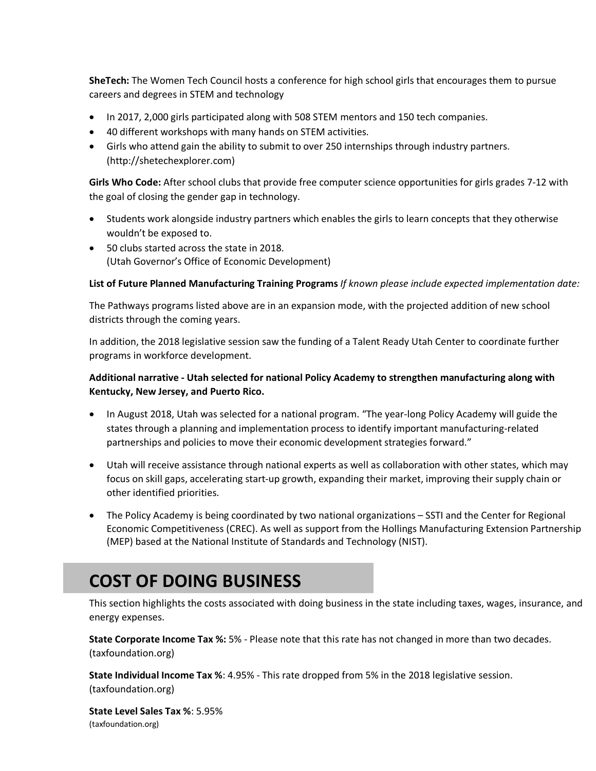**SheTech:** The Women Tech Council hosts a conference for high school girls that encourages them to pursue careers and degrees in STEM and technology

- · In 2017, 2,000 girls participated along with 508 STEM mentors and 150 tech companies.
- · 40 different workshops with many hands on STEM activities.
- · Girls who attend gain the ability to submit to over 250 internships through industry partners. (http://shetechexplorer.com)

**Girls Who Code:** After school clubs that provide free computer science opportunities for girls grades 7-12 with the goal of closing the gender gap in technology.

- · Students work alongside industry partners which enables the girls to learn concepts that they otherwise wouldn't be exposed to.
- · 50 clubs started across the state in 2018. (Utah Governor's Office of Economic Development)

### **List of Future Planned Manufacturing Training Programs** *If known please include expected implementation date:*

The Pathways programs listed above are in an expansion mode, with the projected addition of new school districts through the coming years.

In addition, the 2018 legislative session saw the funding of a Talent Ready Utah Center to coordinate further programs in workforce development.

## **Additional narrative - Utah selected for national Policy Academy to strengthen manufacturing along with Kentucky, New Jersey, and Puerto Rico.**

- · In August 2018, Utah was selected for a national program. "The year-long Policy Academy will guide the states through a planning and implementation process to identify important manufacturing-related partnerships and policies to move their economic development strategies forward."
- · Utah will receive assistance through national experts as well as collaboration with other states, which may focus on skill gaps, accelerating start-up growth, expanding their market, improving their supply chain or other identified priorities.
- The Policy Academy is being coordinated by two national organizations SSTI and the Center for Regional Economic Competitiveness (CREC). As well as support from the Hollings Manufacturing Extension Partnership (MEP) based at the National Institute of Standards and Technology (NIST).

# **COST OF DOING BUSINESS**

This section highlights the costs associated with doing business in the state including taxes, wages, insurance, and energy expenses.

**State Corporate Income Tax %:** 5% - Please note that this rate has not changed in more than two decades. (taxfoundation.org)

**State Individual Income Tax %**: 4.95% - This rate dropped from 5% in the 2018 legislative session. (taxfoundation.org)

**State Level Sales Tax %**: 5.95% (taxfoundation.org)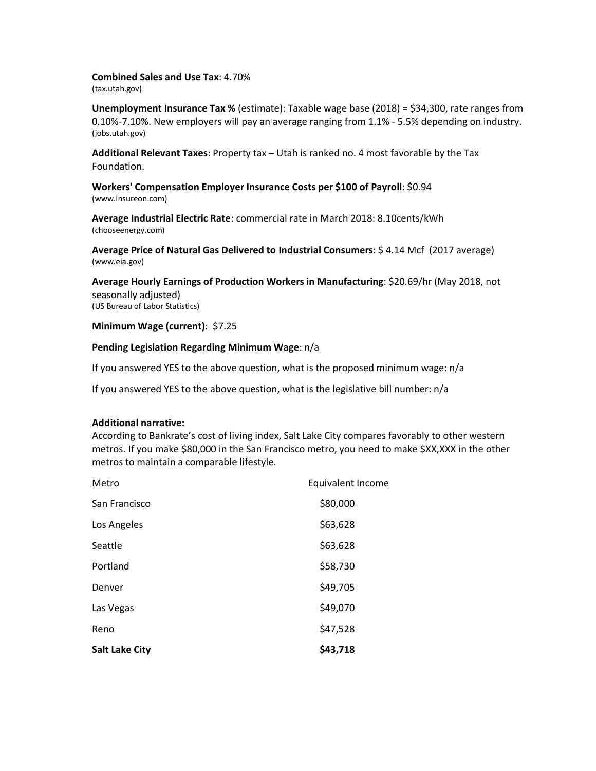**Combined Sales and Use Tax**: 4.70% (tax.utah.gov)

**Unemployment Insurance Tax %** (estimate): Taxable wage base (2018) = \$34,300, rate ranges from 0.10%-7.10%. New employers will pay an average ranging from 1.1% - 5.5% depending on industry. (jobs.utah.gov)

**Additional Relevant Taxes**: Property tax – Utah is ranked no. 4 most favorable by the Tax Foundation.

**Workers' Compensation Employer Insurance Costs per \$100 of Payroll**: \$0.94 (www.insureon.com)

**Average Industrial Electric Rate**: commercial rate in March 2018: 8.10cents/kWh (chooseenergy.com)

**Average Price of Natural Gas Delivered to Industrial Consumers**: \$ 4.14 Mcf (2017 average) (www.eia.gov)

**Average Hourly Earnings of Production Workers in Manufacturing**: \$20.69/hr (May 2018, not seasonally adjusted) (US Bureau of Labor Statistics)

**Minimum Wage (current)**: \$7.25

#### **Pending Legislation Regarding Minimum Wage**: n/a

If you answered YES to the above question, what is the proposed minimum wage: n/a

If you answered YES to the above question, what is the legislative bill number: n/a

#### **Additional narrative:**

According to Bankrate's cost of living index, Salt Lake City compares favorably to other western metros. If you make \$80,000 in the San Francisco metro, you need to make \$XX,XXX in the other metros to maintain a comparable lifestyle.

| <b>Salt Lake City</b> | \$43,718          |
|-----------------------|-------------------|
| Reno                  | \$47,528          |
| Las Vegas             | \$49,070          |
| Denver                | \$49,705          |
| Portland              | \$58,730          |
| Seattle               | \$63,628          |
| Los Angeles           | \$63,628          |
| San Francisco         | \$80,000          |
| Metro                 | Equivalent Income |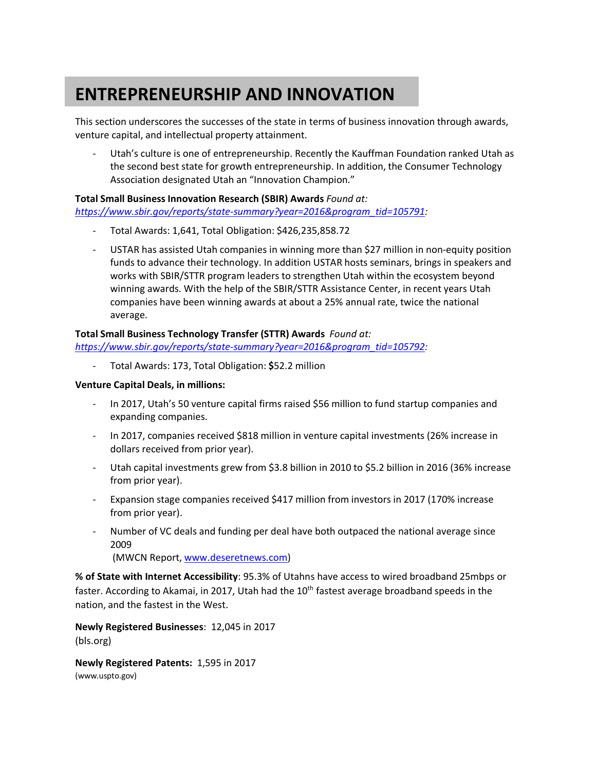# **ENTREPRENEURSHIP AND INNOVATION**

This section underscores the successes of the state in terms of business innovation through awards, venture capital, and intellectual property attainment.

- Utah's culture is one of entrepreneurship. Recently the Kauffman Foundation ranked Utah as the second best state for growth entrepreneurship. In addition, the Consumer Technology Association designated Utah an "Innovation Champion."

## **Total Small Business Innovation Research (SBIR) Awards** *Found at:*

*https://www.sbir.gov/reports/state-summary?year=2016&program\_tid=105791:*

- Total Awards: 1,641, Total Obligation: \$426,235,858.72
- USTAR has assisted Utah companies in winning more than \$27 million in non-equity position funds to advance their technology. In addition USTAR hosts seminars, brings in speakers and works with SBIR/STTR program leaders to strengthen Utah within the ecosystem beyond winning awards. With the help of the SBIR/STTR Assistance Center, in recent years Utah companies have been winning awards at about a 25% annual rate, twice the national average.

## **Total Small Business Technology Transfer (STTR) Awards** *Found at:*

*https://www.sbir.gov/reports/state-summary?year=2016&program\_tid=105792:*

- Total Awards: 173, Total Obligation: **\$**52.2 million

### **Venture Capital Deals, in millions:**

- In 2017, Utah's 50 venture capital firms raised \$56 million to fund startup companies and expanding companies.
- In 2017, companies received \$818 million in venture capital investments (26% increase in dollars received from prior year).
- Utah capital investments grew from \$3.8 billion in 2010 to \$5.2 billion in 2016 (36% increase from prior year).
- Expansion stage companies received \$417 million from investors in 2017 (170% increase from prior year).
- Number of VC deals and funding per deal have both outpaced the national average since 2009

(MWCN Report, www.deseretnews.com)

**% of State with Internet Accessibility**: 95.3% of Utahns have access to wired broadband 25mbps or faster. According to Akamai, in 2017, Utah had the 10<sup>th</sup> fastest average broadband speeds in the nation, and the fastest in the West.

**Newly Registered Businesses**: 12,045 in 2017 (bls.org)

**Newly Registered Patents:** 1,595 in 2017 (www.uspto.gov)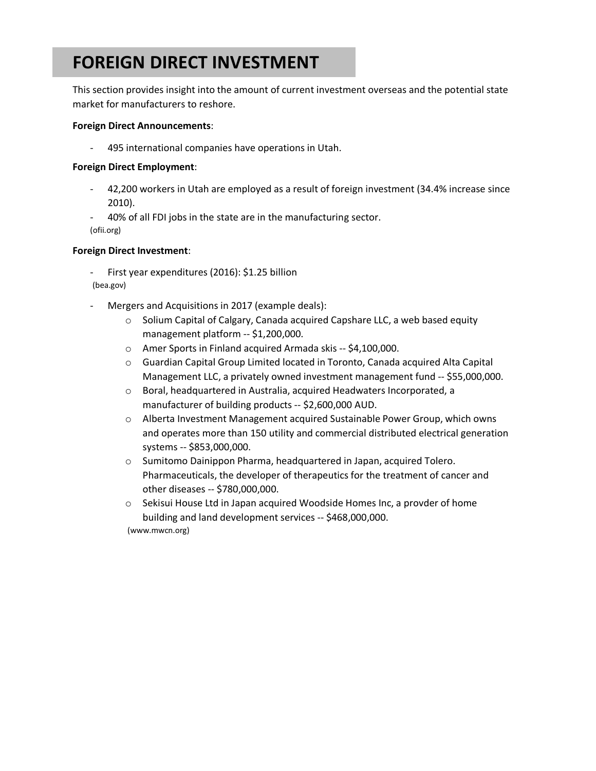# **FOREIGN DIRECT INVESTMENT**

This section provides insight into the amount of current investment overseas and the potential state market for manufacturers to reshore.

### **Foreign Direct Announcements**:

495 international companies have operations in Utah.

### **Foreign Direct Employment**:

- 42,200 workers in Utah are employed as a result of foreign investment (34.4% increase since 2010).
- 40% of all FDI jobs in the state are in the manufacturing sector. (ofii.org)

### **Foreign Direct Investment**:

- First year expenditures (2016): \$1.25 billion
- (bea.gov)
- Mergers and Acquisitions in 2017 (example deals):
	- o Solium Capital of Calgary, Canada acquired Capshare LLC, a web based equity management platform -- \$1,200,000.
	- o Amer Sports in Finland acquired Armada skis -- \$4,100,000.
	- o Guardian Capital Group Limited located in Toronto, Canada acquired Alta Capital Management LLC, a privately owned investment management fund -- \$55,000,000.
	- o Boral, headquartered in Australia, acquired Headwaters Incorporated, a manufacturer of building products -- \$2,600,000 AUD.
	- o Alberta Investment Management acquired Sustainable Power Group, which owns and operates more than 150 utility and commercial distributed electrical generation systems -- \$853,000,000.
	- o Sumitomo Dainippon Pharma, headquartered in Japan, acquired Tolero. Pharmaceuticals, the developer of therapeutics for the treatment of cancer and other diseases -- \$780,000,000.
	- o Sekisui House Ltd in Japan acquired Woodside Homes Inc, a provder of home building and land development services -- \$468,000,000.

(www.mwcn.org)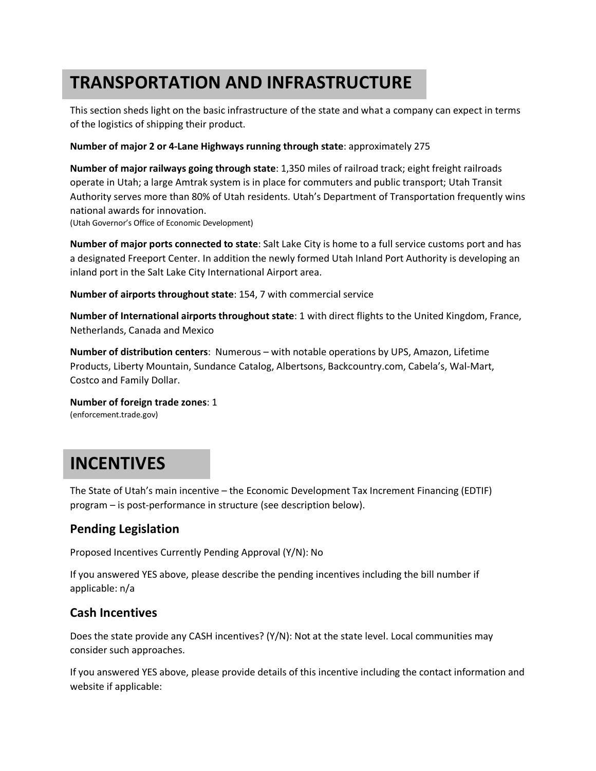# **TRANSPORTATION AND INFRASTRUCTURE**

This section sheds light on the basic infrastructure of the state and what a company can expect in terms of the logistics of shipping their product.

### **Number of major 2 or 4-Lane Highways running through state**: approximately 275

**Number of major railways going through state**: 1,350 miles of railroad track; eight freight railroads operate in Utah; a large Amtrak system is in place for commuters and public transport; Utah Transit Authority serves more than 80% of Utah residents. Utah's Department of Transportation frequently wins national awards for innovation.

(Utah Governor's Office of Economic Development)

**Number of major ports connected to state**: Salt Lake City is home to a full service customs port and has a designated Freeport Center. In addition the newly formed Utah Inland Port Authority is developing an inland port in the Salt Lake City International Airport area.

**Number of airports throughout state**: 154, 7 with commercial service

**Number of International airports throughout state**: 1 with direct flights to the United Kingdom, France, Netherlands, Canada and Mexico

**Number of distribution centers**: Numerous – with notable operations by UPS, Amazon, Lifetime Products, Liberty Mountain, Sundance Catalog, Albertsons, Backcountry.com, Cabela's, Wal-Mart, Costco and Family Dollar.

**Number of foreign trade zones**: 1 (enforcement.trade.gov)

# **INCENTIVES**

The State of Utah's main incentive – the Economic Development Tax Increment Financing (EDTIF) program – is post-performance in structure (see description below).

## **Pending Legislation**

Proposed Incentives Currently Pending Approval (Y/N): No

If you answered YES above, please describe the pending incentives including the bill number if applicable: n/a

## **Cash Incentives**

Does the state provide any CASH incentives? (Y/N): Not at the state level. Local communities may consider such approaches.

If you answered YES above, please provide details of this incentive including the contact information and website if applicable: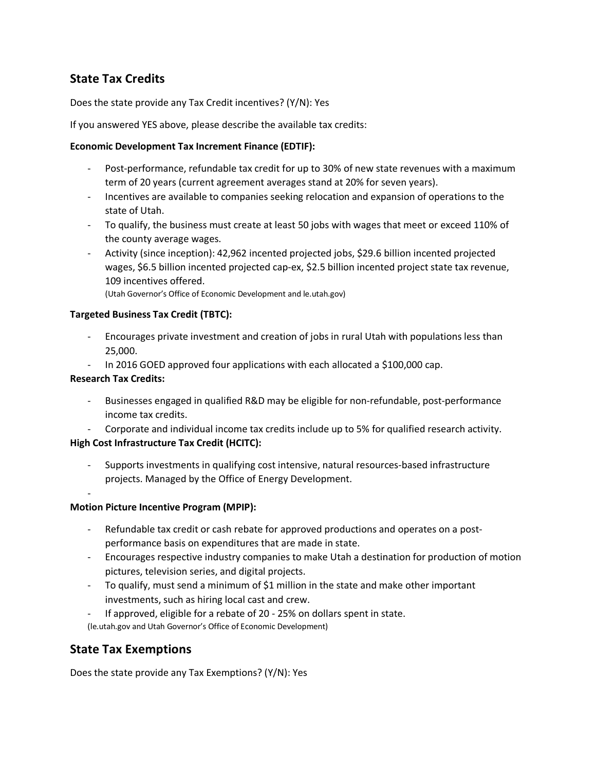## **State Tax Credits**

Does the state provide any Tax Credit incentives? (Y/N): Yes

If you answered YES above, please describe the available tax credits:

### **Economic Development Tax Increment Finance (EDTIF):**

- Post-performance, refundable tax credit for up to 30% of new state revenues with a maximum term of 20 years (current agreement averages stand at 20% for seven years).
- Incentives are available to companies seeking relocation and expansion of operations to the state of Utah.
- To qualify, the business must create at least 50 jobs with wages that meet or exceed 110% of the county average wages.
- Activity (since inception): 42,962 incented projected jobs, \$29.6 billion incented projected wages, \$6.5 billion incented projected cap-ex, \$2.5 billion incented project state tax revenue, 109 incentives offered.

(Utah Governor's Office of Economic Development and le.utah.gov)

## **Targeted Business Tax Credit (TBTC):**

- Encourages private investment and creation of jobs in rural Utah with populations less than 25,000.
- In 2016 GOED approved four applications with each allocated a \$100,000 cap.

## **Research Tax Credits:**

- Businesses engaged in qualified R&D may be eligible for non-refundable, post-performance income tax credits.
- Corporate and individual income tax credits include up to 5% for qualified research activity.

## **High Cost Infrastructure Tax Credit (HCITC):**

- Supports investments in qualifying cost intensive, natural resources-based infrastructure projects. Managed by the Office of Energy Development.
- -

## **Motion Picture Incentive Program (MPIP):**

- Refundable tax credit or cash rebate for approved productions and operates on a postperformance basis on expenditures that are made in state.
- Encourages respective industry companies to make Utah a destination for production of motion pictures, television series, and digital projects.
- To qualify, must send a minimum of \$1 million in the state and make other important investments, such as hiring local cast and crew.
- If approved, eligible for a rebate of 20 25% on dollars spent in state.

(le.utah.gov and Utah Governor's Office of Economic Development)

## **State Tax Exemptions**

Does the state provide any Tax Exemptions? (Y/N): Yes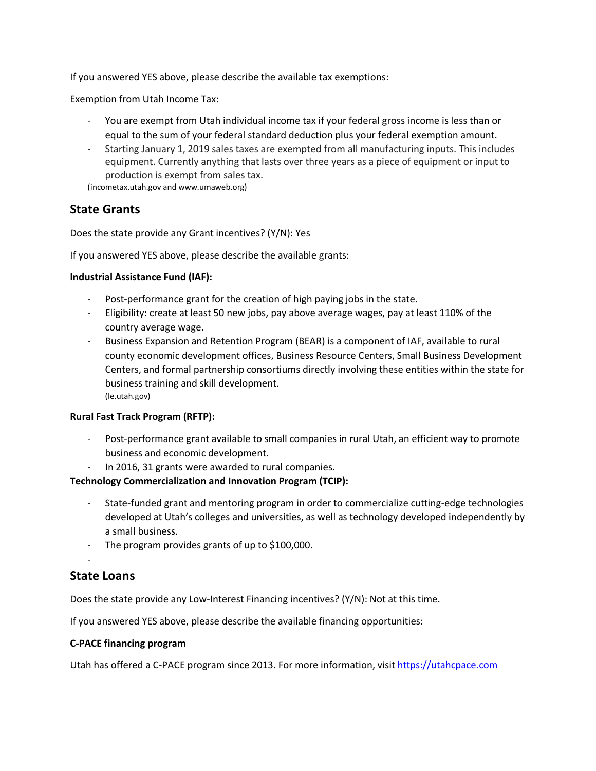If you answered YES above, please describe the available tax exemptions:

Exemption from Utah Income Tax:

- You are exempt from Utah individual income tax if your federal gross income is less than or equal to the sum of your federal standard deduction plus your federal exemption amount.
- Starting January 1, 2019 sales taxes are exempted from all manufacturing inputs. This includes equipment. Currently anything that lasts over three years as a piece of equipment or input to production is exempt from sales tax.

(incometax.utah.gov and www.umaweb.org)

## **State Grants**

Does the state provide any Grant incentives? (Y/N): Yes

If you answered YES above, please describe the available grants:

#### **Industrial Assistance Fund (IAF):**

- Post-performance grant for the creation of high paying jobs in the state.
- Eligibility: create at least 50 new jobs, pay above average wages, pay at least 110% of the country average wage.
- Business Expansion and Retention Program (BEAR) is a component of IAF, available to rural county economic development offices, Business Resource Centers, Small Business Development Centers, and formal partnership consortiums directly involving these entities within the state for business training and skill development. (le.utah.gov)

## **Rural Fast Track Program (RFTP):**

- Post-performance grant available to small companies in rural Utah, an efficient way to promote business and economic development.
- In 2016, 31 grants were awarded to rural companies.

## **Technology Commercialization and Innovation Program (TCIP):**

- State-funded grant and mentoring program in order to commercialize cutting-edge technologies developed at Utah's colleges and universities, as well as technology developed independently by a small business.
- The program provides grants of up to \$100,000.

## **State Loans**

-

Does the state provide any Low-Interest Financing incentives? (Y/N): Not at this time.

If you answered YES above, please describe the available financing opportunities:

#### **C-PACE financing program**

Utah has offered a C-PACE program since 2013. For more information, visit https://utahcpace.com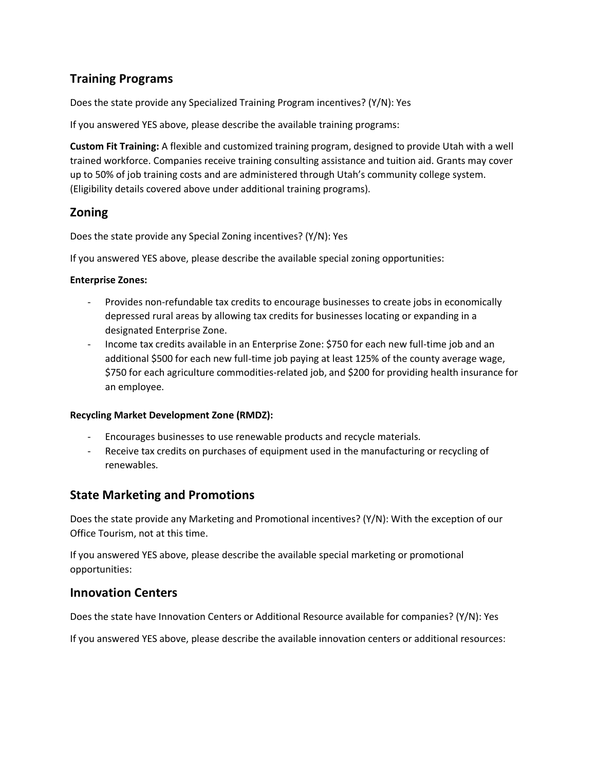## **Training Programs**

Does the state provide any Specialized Training Program incentives? (Y/N): Yes

If you answered YES above, please describe the available training programs:

**Custom Fit Training:** A flexible and customized training program, designed to provide Utah with a well trained workforce. Companies receive training consulting assistance and tuition aid. Grants may cover up to 50% of job training costs and are administered through Utah's community college system. (Eligibility details covered above under additional training programs).

## **Zoning**

Does the state provide any Special Zoning incentives? (Y/N): Yes

If you answered YES above, please describe the available special zoning opportunities:

### **Enterprise Zones:**

- Provides non-refundable tax credits to encourage businesses to create jobs in economically depressed rural areas by allowing tax credits for businesses locating or expanding in a designated Enterprise Zone.
- Income tax credits available in an Enterprise Zone: \$750 for each new full-time job and an additional \$500 for each new full-time job paying at least 125% of the county average wage, \$750 for each agriculture commodities-related job, and \$200 for providing health insurance for an employee.

#### **Recycling Market Development Zone (RMDZ):**

- Encourages businesses to use renewable products and recycle materials.
- Receive tax credits on purchases of equipment used in the manufacturing or recycling of renewables.

## **State Marketing and Promotions**

Does the state provide any Marketing and Promotional incentives? (Y/N): With the exception of our Office Tourism, not at this time.

If you answered YES above, please describe the available special marketing or promotional opportunities:

## **Innovation Centers**

Does the state have Innovation Centers or Additional Resource available for companies? (Y/N): Yes

If you answered YES above, please describe the available innovation centers or additional resources: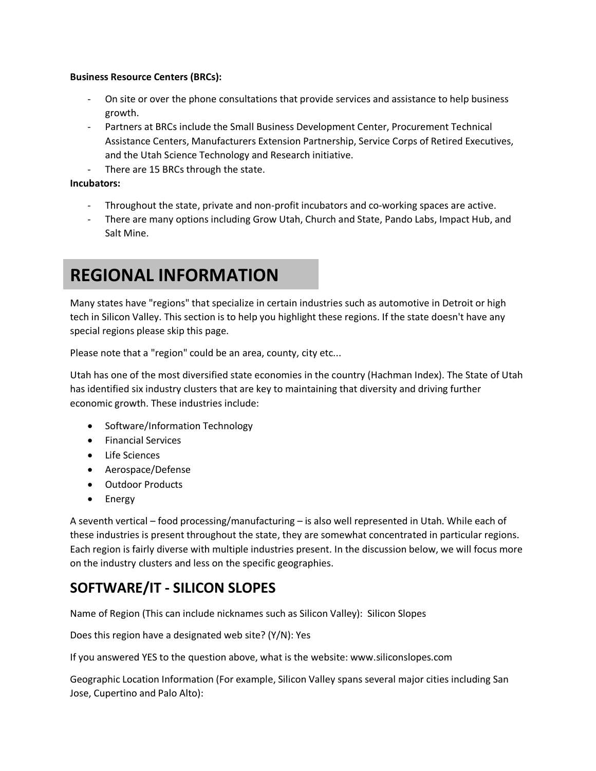### **Business Resource Centers (BRCs):**

- On site or over the phone consultations that provide services and assistance to help business growth.
- Partners at BRCs include the Small Business Development Center, Procurement Technical Assistance Centers, Manufacturers Extension Partnership, Service Corps of Retired Executives, and the Utah Science Technology and Research initiative.
- There are 15 BRCs through the state.

## **Incubators:**

- Throughout the state, private and non-profit incubators and co-working spaces are active.
- There are many options including Grow Utah, Church and State, Pando Labs, Impact Hub, and Salt Mine.

## **REGIONAL INFORMATION**

Many states have "regions" that specialize in certain industries such as automotive in Detroit or high tech in Silicon Valley. This section is to help you highlight these regions. If the state doesn't have any special regions please skip this page.

Please note that a "region" could be an area, county, city etc...

Utah has one of the most diversified state economies in the country (Hachman Index). The State of Utah has identified six industry clusters that are key to maintaining that diversity and driving further economic growth. These industries include:

- · Software/Information Technology
- · Financial Services
- · Life Sciences
- · Aerospace/Defense
- · Outdoor Products
- · Energy

A seventh vertical – food processing/manufacturing – is also well represented in Utah. While each of these industries is present throughout the state, they are somewhat concentrated in particular regions. Each region is fairly diverse with multiple industries present. In the discussion below, we will focus more on the industry clusters and less on the specific geographies.

## **SOFTWARE/IT - SILICON SLOPES**

Name of Region (This can include nicknames such as Silicon Valley): Silicon Slopes

Does this region have a designated web site? (Y/N): Yes

If you answered YES to the question above, what is the website: www.siliconslopes.com

Geographic Location Information (For example, Silicon Valley spans several major cities including San Jose, Cupertino and Palo Alto):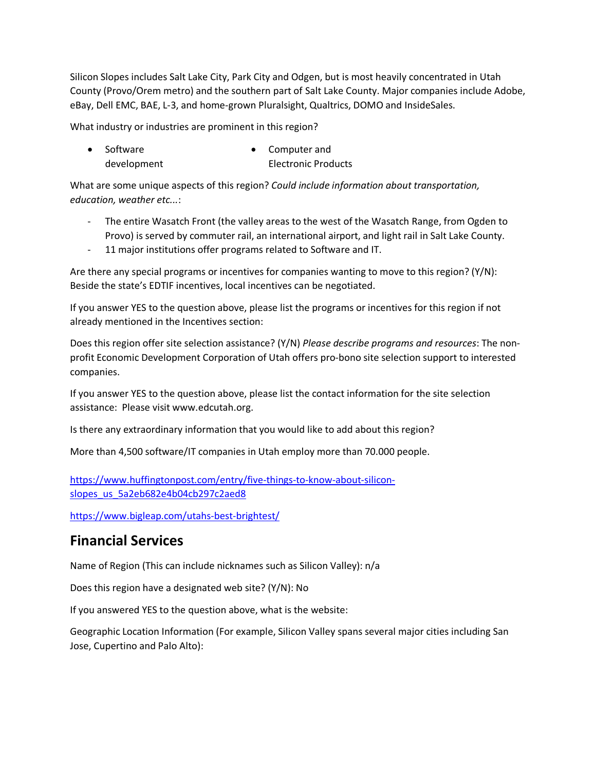Silicon Slopes includes Salt Lake City, Park City and Odgen, but is most heavily concentrated in Utah County (Provo/Orem metro) and the southern part of Salt Lake County. Major companies include Adobe, eBay, Dell EMC, BAE, L-3, and home-grown Pluralsight, Qualtrics, DOMO and InsideSales.

What industry or industries are prominent in this region?

· Software development · Computer and Electronic Products

What are some unique aspects of this region? *Could include information about transportation, education, weather etc...*:

- The entire Wasatch Front (the valley areas to the west of the Wasatch Range, from Ogden to Provo) is served by commuter rail, an international airport, and light rail in Salt Lake County.
- 11 major institutions offer programs related to Software and IT.

Are there any special programs or incentives for companies wanting to move to this region? (Y/N): Beside the state's EDTIF incentives, local incentives can be negotiated.

If you answer YES to the question above, please list the programs or incentives for this region if not already mentioned in the Incentives section:

Does this region offer site selection assistance? (Y/N) *Please describe programs and resources*: The nonprofit Economic Development Corporation of Utah offers pro-bono site selection support to interested companies.

If you answer YES to the question above, please list the contact information for the site selection assistance: Please visit www.edcutah.org.

Is there any extraordinary information that you would like to add about this region?

More than 4,500 software/IT companies in Utah employ more than 70.000 people.

https://www.huffingtonpost.com/entry/five-things-to-know-about-siliconslopes\_us\_5a2eb682e4b04cb297c2aed8

https://www.bigleap.com/utahs-best-brightest/

## **Financial Services**

Name of Region (This can include nicknames such as Silicon Valley): n/a

Does this region have a designated web site? (Y/N): No

If you answered YES to the question above, what is the website:

Geographic Location Information (For example, Silicon Valley spans several major cities including San Jose, Cupertino and Palo Alto):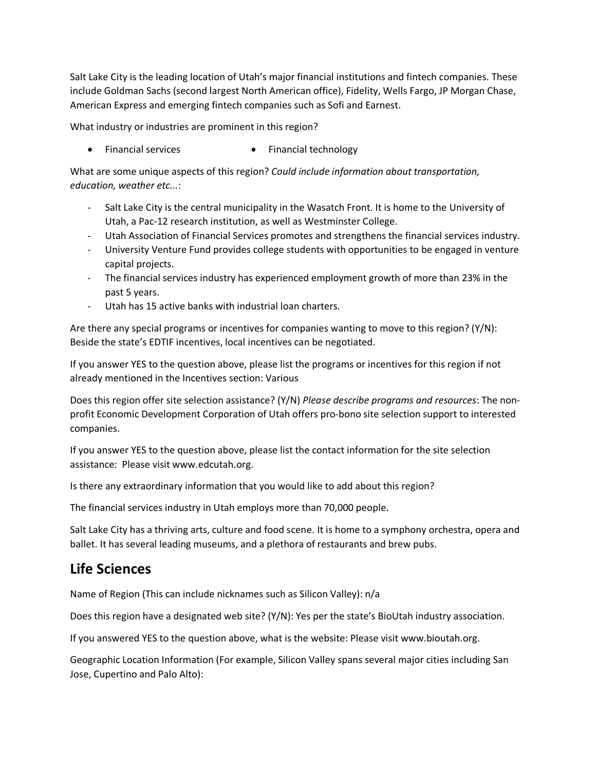Salt Lake City is the leading location of Utah's major financial institutions and fintech companies. These include Goldman Sachs (second largest North American office), Fidelity, Wells Fargo, JP Morgan Chase, American Express and emerging fintech companies such as Sofi and Earnest.

What industry or industries are prominent in this region?

• Financial services • Financial technology

What are some unique aspects of this region? *Could include information about transportation, education, weather etc...*:

- Salt Lake City is the central municipality in the Wasatch Front. It is home to the University of Utah, a Pac-12 research institution, as well as Westminster College.
- Utah Association of Financial Services promotes and strengthens the financial services industry.
- University Venture Fund provides college students with opportunities to be engaged in venture capital projects.
- The financial services industry has experienced employment growth of more than 23% in the past 5 years.
- Utah has 15 active banks with industrial loan charters.

Are there any special programs or incentives for companies wanting to move to this region? (Y/N): Beside the state's EDTIF incentives, local incentives can be negotiated.

If you answer YES to the question above, please list the programs or incentives for this region if not already mentioned in the Incentives section: Various

Does this region offer site selection assistance? (Y/N) *Please describe programs and resources*: The nonprofit Economic Development Corporation of Utah offers pro-bono site selection support to interested companies.

If you answer YES to the question above, please list the contact information for the site selection assistance: Please visit www.edcutah.org.

Is there any extraordinary information that you would like to add about this region?

The financial services industry in Utah employs more than 70,000 people.

Salt Lake City has a thriving arts, culture and food scene. It is home to a symphony orchestra, opera and ballet. It has several leading museums, and a plethora of restaurants and brew pubs.

## **Life Sciences**

Name of Region (This can include nicknames such as Silicon Valley): n/a

Does this region have a designated web site? (Y/N): Yes per the state's BioUtah industry association.

If you answered YES to the question above, what is the website: Please visit www.bioutah.org.

Geographic Location Information (For example, Silicon Valley spans several major cities including San Jose, Cupertino and Palo Alto):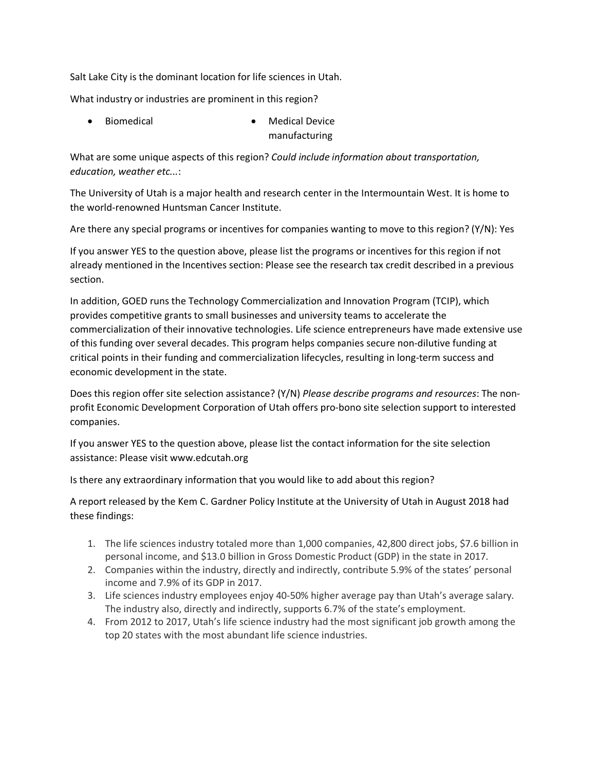Salt Lake City is the dominant location for life sciences in Utah.

What industry or industries are prominent in this region?

Biomedical **· Medical Device · Medical Device** manufacturing

What are some unique aspects of this region? *Could include information about transportation, education, weather etc...*:

The University of Utah is a major health and research center in the Intermountain West. It is home to the world-renowned Huntsman Cancer Institute.

Are there any special programs or incentives for companies wanting to move to this region? (Y/N): Yes

If you answer YES to the question above, please list the programs or incentives for this region if not already mentioned in the Incentives section: Please see the research tax credit described in a previous section.

In addition, GOED runs the Technology Commercialization and Innovation Program (TCIP), which provides competitive grants to small businesses and university teams to accelerate the commercialization of their innovative technologies. Life science entrepreneurs have made extensive use of this funding over several decades. This program helps companies secure non-dilutive funding at critical points in their funding and commercialization lifecycles, resulting in long-term success and economic development in the state.

Does this region offer site selection assistance? (Y/N) *Please describe programs and resources*: The nonprofit Economic Development Corporation of Utah offers pro-bono site selection support to interested companies.

If you answer YES to the question above, please list the contact information for the site selection assistance: Please visit www.edcutah.org

Is there any extraordinary information that you would like to add about this region?

A report released by the Kem C. Gardner Policy Institute at the University of Utah in August 2018 had these findings:

- 1. The life sciences industry totaled more than 1,000 companies, 42,800 direct jobs, \$7.6 billion in personal income, and \$13.0 billion in Gross Domestic Product (GDP) in the state in 2017.
- 2. Companies within the industry, directly and indirectly, contribute 5.9% of the states' personal income and 7.9% of its GDP in 2017.
- 3. Life sciences industry employees enjoy 40-50% higher average pay than Utah's average salary. The industry also, directly and indirectly, supports 6.7% of the state's employment.
- 4. From 2012 to 2017, Utah's life science industry had the most significant job growth among the top 20 states with the most abundant life science industries.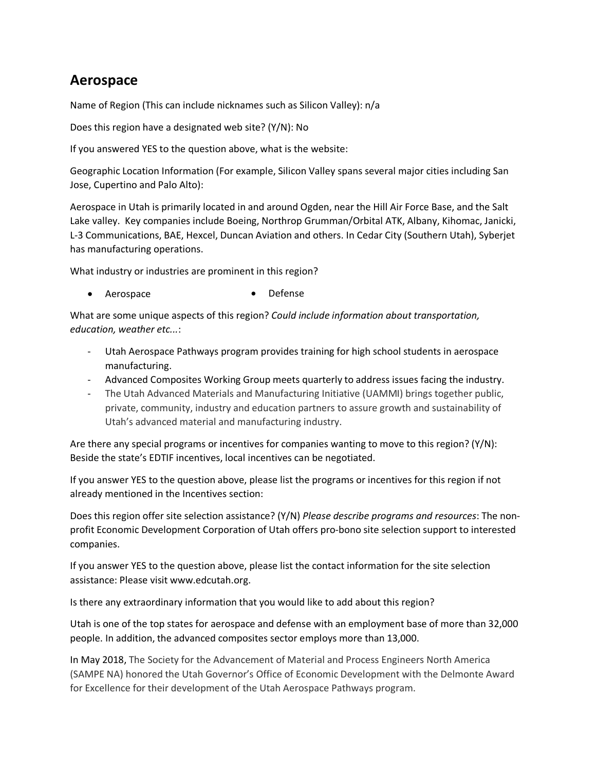## **Aerospace**

Name of Region (This can include nicknames such as Silicon Valley): n/a

Does this region have a designated web site? (Y/N): No

If you answered YES to the question above, what is the website:

Geographic Location Information (For example, Silicon Valley spans several major cities including San Jose, Cupertino and Palo Alto):

Aerospace in Utah is primarily located in and around Ogden, near the Hill Air Force Base, and the Salt Lake valley. Key companies include Boeing, Northrop Grumman/Orbital ATK, Albany, Kihomac, Janicki, L-3 Communications, BAE, Hexcel, Duncan Aviation and others. In Cedar City (Southern Utah), Syberjet has manufacturing operations.

What industry or industries are prominent in this region?

• Aerospace • Defense

What are some unique aspects of this region? *Could include information about transportation, education, weather etc...*:

- Utah Aerospace Pathways program provides training for high school students in aerospace manufacturing.
- Advanced Composites Working Group meets quarterly to address issues facing the industry.
- The Utah Advanced Materials and Manufacturing Initiative (UAMMI) brings together public, private, community, industry and education partners to assure growth and sustainability of Utah's advanced material and manufacturing industry.

Are there any special programs or incentives for companies wanting to move to this region? (Y/N): Beside the state's EDTIF incentives, local incentives can be negotiated.

If you answer YES to the question above, please list the programs or incentives for this region if not already mentioned in the Incentives section:

Does this region offer site selection assistance? (Y/N) *Please describe programs and resources*: The nonprofit Economic Development Corporation of Utah offers pro-bono site selection support to interested companies.

If you answer YES to the question above, please list the contact information for the site selection assistance: Please visit www.edcutah.org.

Is there any extraordinary information that you would like to add about this region?

Utah is one of the top states for aerospace and defense with an employment base of more than 32,000 people. In addition, the advanced composites sector employs more than 13,000.

In May 2018, The Society for the Advancement of Material and Process Engineers North America (SAMPE NA) honored the Utah Governor's Office of Economic Development with the Delmonte Award for Excellence for their development of the Utah Aerospace Pathways program.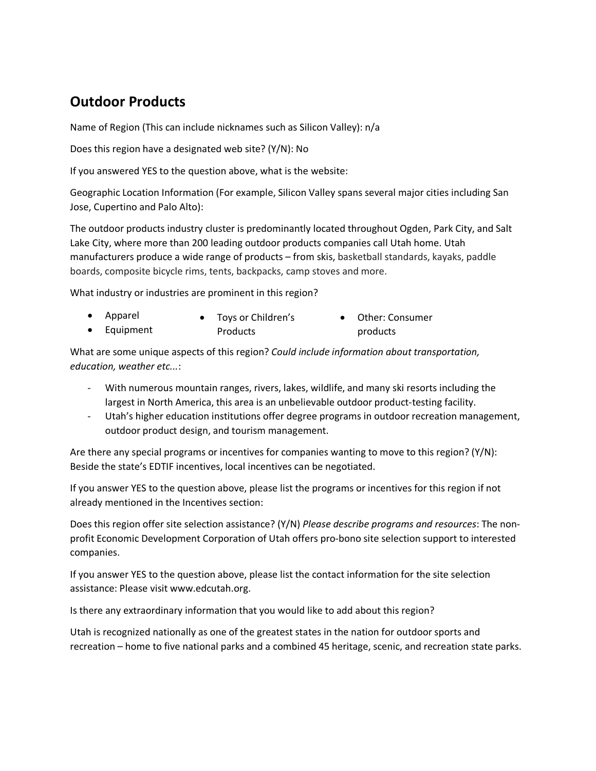## **Outdoor Products**

Name of Region (This can include nicknames such as Silicon Valley): n/a

Does this region have a designated web site? (Y/N): No

If you answered YES to the question above, what is the website:

Geographic Location Information (For example, Silicon Valley spans several major cities including San Jose, Cupertino and Palo Alto):

The outdoor products industry cluster is predominantly located throughout Ogden, Park City, and Salt Lake City, where more than 200 leading outdoor products companies call Utah home. Utah manufacturers produce a wide range of products – from skis, basketball standards, kayaks, paddle boards, composite bicycle rims, tents, backpacks, camp stoves and more.

What industry or industries are prominent in this region?

| • Apparel | Toys or Children's | • Other: Consumer |
|-----------|--------------------|-------------------|
| Equipment | Products           | products          |

What are some unique aspects of this region? *Could include information about transportation, education, weather etc...*:

- With numerous mountain ranges, rivers, lakes, wildlife, and many ski resorts including the largest in North America, this area is an unbelievable outdoor product-testing facility.
- Utah's higher education institutions offer degree programs in outdoor recreation management, outdoor product design, and tourism management.

Are there any special programs or incentives for companies wanting to move to this region? (Y/N): Beside the state's EDTIF incentives, local incentives can be negotiated.

If you answer YES to the question above, please list the programs or incentives for this region if not already mentioned in the Incentives section:

Does this region offer site selection assistance? (Y/N) *Please describe programs and resources*: The nonprofit Economic Development Corporation of Utah offers pro-bono site selection support to interested companies.

If you answer YES to the question above, please list the contact information for the site selection assistance: Please visit www.edcutah.org.

Is there any extraordinary information that you would like to add about this region?

Utah is recognized nationally as one of the greatest states in the nation for outdoor sports and recreation – home to five national parks and a combined 45 heritage, scenic, and recreation state parks.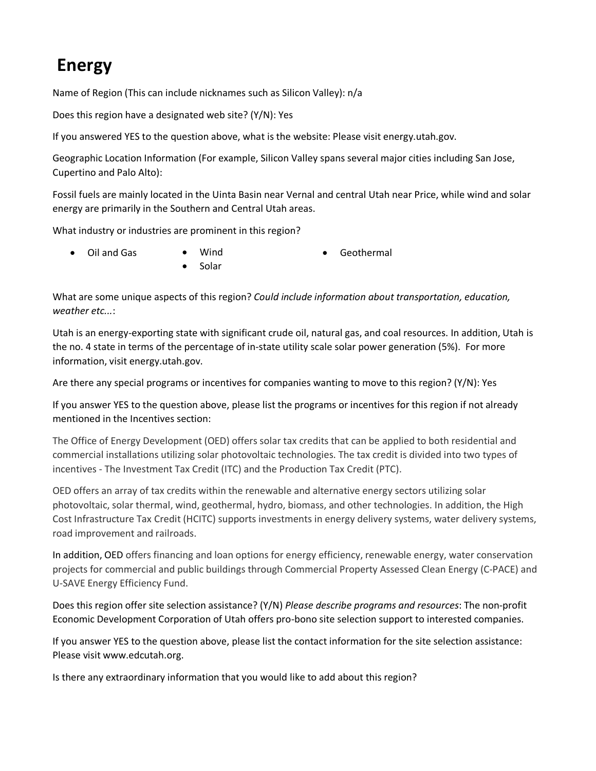# **Energy**

Name of Region (This can include nicknames such as Silicon Valley): n/a

Does this region have a designated web site? (Y/N): Yes

If you answered YES to the question above, what is the website: Please visit energy.utah.gov.

Geographic Location Information (For example, Silicon Valley spans several major cities including San Jose, Cupertino and Palo Alto):

Fossil fuels are mainly located in the Uinta Basin near Vernal and central Utah near Price, while wind and solar energy are primarily in the Southern and Central Utah areas.

What industry or industries are prominent in this region?

· Oil and Gas · Wind

· Solar

· Geothermal

What are some unique aspects of this region? *Could include information about transportation, education, weather etc...*:

Utah is an energy-exporting state with significant crude oil, natural gas, and coal resources. In addition, Utah is the no. 4 state in terms of the percentage of in-state utility scale solar power generation (5%). For more information, visit energy.utah.gov.

Are there any special programs or incentives for companies wanting to move to this region? (Y/N): Yes

If you answer YES to the question above, please list the programs or incentives for this region if not already mentioned in the Incentives section:

The Office of Energy Development (OED) offers solar tax credits that can be applied to both residential and commercial installations utilizing solar photovoltaic technologies. The tax credit is divided into two types of incentives - The Investment Tax Credit (ITC) and the Production Tax Credit (PTC).

OED offers an array of tax credits within the renewable and alternative energy sectors utilizing solar photovoltaic, solar thermal, wind, geothermal, hydro, biomass, and other technologies. In addition, the High Cost Infrastructure Tax Credit (HCITC) supports investments in energy delivery systems, water delivery systems, road improvement and railroads.

In addition, OED offers financing and loan options for energy efficiency, renewable energy, water conservation projects for commercial and public buildings through Commercial Property Assessed Clean Energy (C-PACE) and U-SAVE Energy Efficiency Fund.

Does this region offer site selection assistance? (Y/N) *Please describe programs and resources*: The non-profit Economic Development Corporation of Utah offers pro-bono site selection support to interested companies.

If you answer YES to the question above, please list the contact information for the site selection assistance: Please visit www.edcutah.org.

Is there any extraordinary information that you would like to add about this region?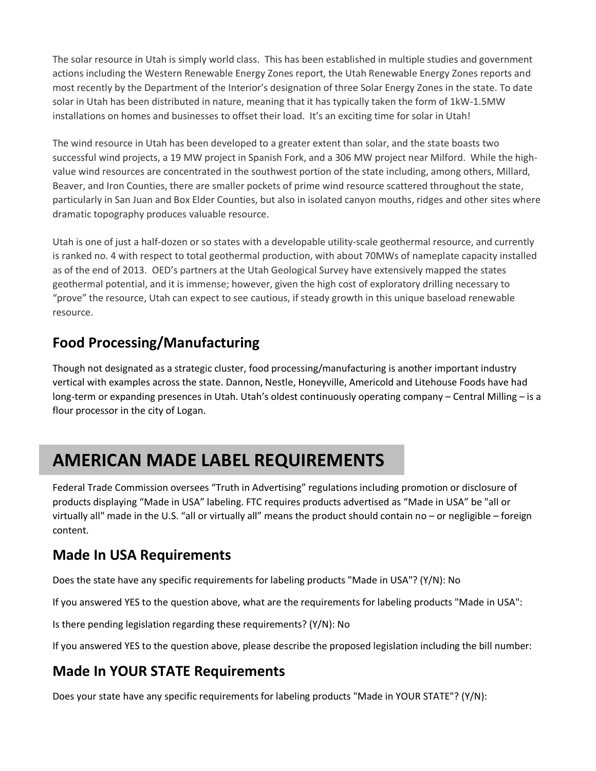The solar resource in Utah is simply world class. This has been established in multiple studies and government actions including the Western Renewable Energy Zones report, the Utah Renewable Energy Zones reports and most recently by the Department of the Interior's designation of three Solar Energy Zones in the state. To date solar in Utah has been distributed in nature, meaning that it has typically taken the form of 1kW-1.5MW installations on homes and businesses to offset their load. It's an exciting time for solar in Utah!

The wind resource in Utah has been developed to a greater extent than solar, and the state boasts two successful wind projects, a 19 MW project in Spanish Fork, and a 306 MW project near Milford. While the highvalue wind resources are concentrated in the southwest portion of the state including, among others, Millard, Beaver, and Iron Counties, there are smaller pockets of prime wind resource scattered throughout the state, particularly in San Juan and Box Elder Counties, but also in isolated canyon mouths, ridges and other sites where dramatic topography produces valuable resource.

Utah is one of just a half-dozen or so states with a developable utility-scale geothermal resource, and currently is ranked no. 4 with respect to total geothermal production, with about 70MWs of nameplate capacity installed as of the end of 2013. OED's partners at the Utah Geological Survey have extensively mapped the states geothermal potential, and it is immense; however, given the high cost of exploratory drilling necessary to "prove" the resource, Utah can expect to see cautious, if steady growth in this unique baseload renewable resource.

## **Food Processing/Manufacturing**

Though not designated as a strategic cluster, food processing/manufacturing is another important industry vertical with examples across the state. Dannon, Nestle, Honeyville, Americold and Litehouse Foods have had long-term or expanding presences in Utah. Utah's oldest continuously operating company – Central Milling – is a flour processor in the city of Logan.

# **AMERICAN MADE LABEL REQUIREMENTS**

Federal Trade Commission oversees "Truth in Advertising" regulations including promotion or disclosure of products displaying "Made in USA" labeling. FTC requires products advertised as "Made in USA" be "all or virtually all" made in the U.S. "all or virtually all" means the product should contain no – or negligible – foreign content.

## **Made In USA Requirements**

Does the state have any specific requirements for labeling products "Made in USA"? (Y/N): No

If you answered YES to the question above, what are the requirements for labeling products "Made in USA":

Is there pending legislation regarding these requirements? (Y/N): No

If you answered YES to the question above, please describe the proposed legislation including the bill number:

## **Made In YOUR STATE Requirements**

Does your state have any specific requirements for labeling products "Made in YOUR STATE"? (Y/N):